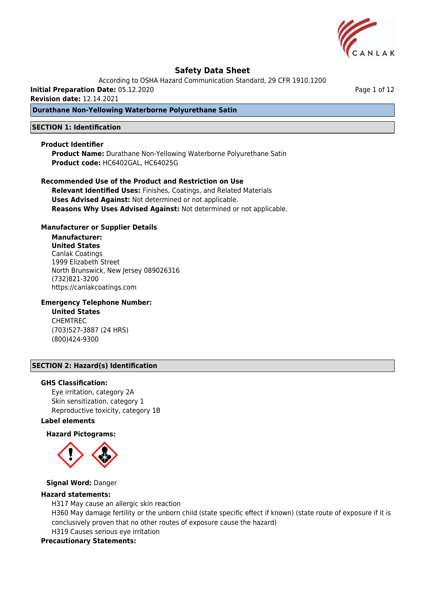

According to OSHA Hazard Communication Standard, 29 CFR 1910.1200

**Initial Preparation Date:** 05.12.2020

**Revision date:** 12.14.2021

# **Durathane Non-Yellowing Waterborne Polyurethane Satin**

## **SECTION 1: Identification**

#### **Product Identifier**

**Product Name:** Durathane Non-Yellowing Waterborne Polyurethane Satin **Product code:** HC6402GAL, HC64025G

**Recommended Use of the Product and Restriction on Use Relevant Identified Uses:** Finishes, Coatings, and Related Materials **Uses Advised Against:** Not determined or not applicable. **Reasons Why Uses Advised Against:** Not determined or not applicable.

### **Manufacturer or Supplier Details**

**Manufacturer: United States** Canlak Coatings 1999 Elizabeth Street North Brunswick, New Jersey 089026316 (732)821-3200 https://canlakcoatings.com

## **Emergency Telephone Number:**

**United States** CHEMTREC (703)527-3887 (24 HRS) (800)424-9300

### **SECTION 2: Hazard(s) Identification**

#### **GHS Classification:**

Eye irritation, category 2A Skin sensitization, category 1 Reproductive toxicity, category 1B

#### **Label elements**

# **Hazard Pictograms:**



# **Signal Word:** Danger

## **Hazard statements:**

H317 May cause an allergic skin reaction H360 May damage fertility or the unborn child (state specific effect if known) (state route of exposure if it is conclusively proven that no other routes of exposure cause the hazard) H319 Causes serious eye irritation

## **Precautionary Statements:**

Page 1 of 12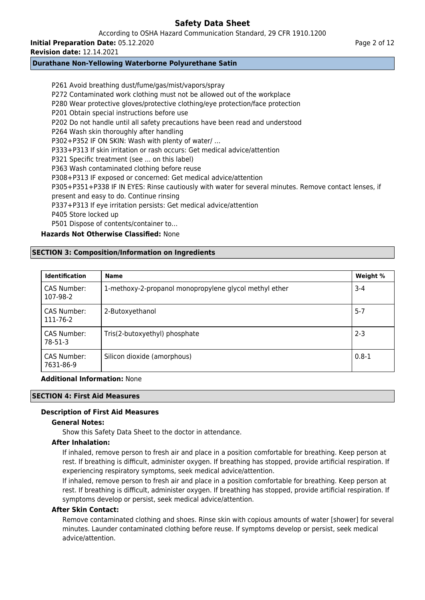According to OSHA Hazard Communication Standard, 29 CFR 1910.1200

**Initial Preparation Date:** 05.12.2020

**Revision date:** 12.14.2021

# **Durathane Non-Yellowing Waterborne Polyurethane Satin**

P261 Avoid breathing dust/fume/gas/mist/vapors/spray P272 Contaminated work clothing must not be allowed out of the workplace P280 Wear protective gloves/protective clothing/eye protection/face protection P201 Obtain special instructions before use P202 Do not handle until all safety precautions have been read and understood P264 Wash skin thoroughly after handling P302+P352 IF ON SKIN: Wash with plenty of water/ … P333+P313 If skin irritation or rash occurs: Get medical advice/attention P321 Specific treatment (see ... on this label) P363 Wash contaminated clothing before reuse P308+P313 IF exposed or concerned: Get medical advice/attention P305+P351+P338 IF IN EYES: Rinse cautiously with water for several minutes. Remove contact lenses, if present and easy to do. Continue rinsing P337+P313 If eye irritation persists: Get medical advice/attention P405 Store locked up P501 Dispose of contents/container to…

# **Hazards Not Otherwise Classified:** None

# **SECTION 3: Composition/Information on Ingredients**

| <b>Identification</b>    | <b>Name</b>                                            | Weight %  |
|--------------------------|--------------------------------------------------------|-----------|
| CAS Number:<br>107-98-2  | 1-methoxy-2-propanol monopropylene glycol methyl ether | $3 - 4$   |
| CAS Number:<br>111-76-2  | 2-Butoxyethanol                                        | $5 - 7$   |
| CAS Number:<br>$78-51-3$ | Tris(2-butoxyethyl) phosphate                          | $2 - 3$   |
| CAS Number:<br>7631-86-9 | Silicon dioxide (amorphous)                            | $0.8 - 1$ |

**Additional Information:** None

# **SECTION 4: First Aid Measures**

# **Description of First Aid Measures**

# **General Notes:**

Show this Safety Data Sheet to the doctor in attendance.

# **After Inhalation:**

If inhaled, remove person to fresh air and place in a position comfortable for breathing. Keep person at rest. If breathing is difficult, administer oxygen. If breathing has stopped, provide artificial respiration. If experiencing respiratory symptoms, seek medical advice/attention.

If inhaled, remove person to fresh air and place in a position comfortable for breathing. Keep person at rest. If breathing is difficult, administer oxygen. If breathing has stopped, provide artificial respiration. If symptoms develop or persist, seek medical advice/attention.

# **After Skin Contact:**

Remove contaminated clothing and shoes. Rinse skin with copious amounts of water [shower] for several minutes. Launder contaminated clothing before reuse. If symptoms develop or persist, seek medical advice/attention.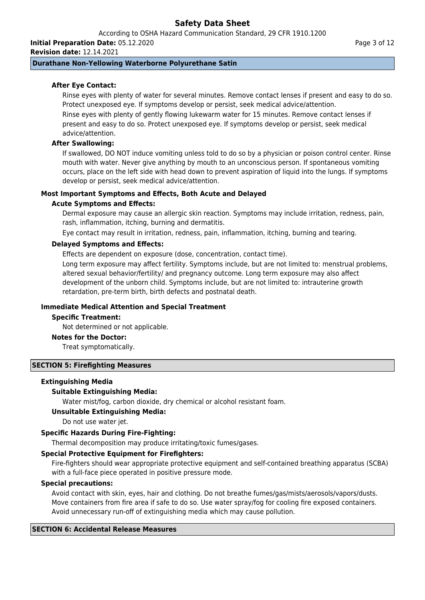According to OSHA Hazard Communication Standard, 29 CFR 1910.1200

**Initial Preparation Date:** 05.12.2020

**Revision date:** 12.14.2021

# **Durathane Non-Yellowing Waterborne Polyurethane Satin**

# **After Eye Contact:**

Rinse eyes with plenty of water for several minutes. Remove contact lenses if present and easy to do so. Protect unexposed eye. If symptoms develop or persist, seek medical advice/attention.

Rinse eyes with plenty of gently flowing lukewarm water for 15 minutes. Remove contact lenses if present and easy to do so. Protect unexposed eye. If symptoms develop or persist, seek medical advice/attention.

## **After Swallowing:**

If swallowed, DO NOT induce vomiting unless told to do so by a physician or poison control center. Rinse mouth with water. Never give anything by mouth to an unconscious person. If spontaneous vomiting occurs, place on the left side with head down to prevent aspiration of liquid into the lungs. If symptoms develop or persist, seek medical advice/attention.

### **Most Important Symptoms and Effects, Both Acute and Delayed**

### **Acute Symptoms and Effects:**

Dermal exposure may cause an allergic skin reaction. Symptoms may include irritation, redness, pain, rash, inflammation, itching, burning and dermatitis.

Eye contact may result in irritation, redness, pain, inflammation, itching, burning and tearing.

### **Delayed Symptoms and Effects:**

Effects are dependent on exposure (dose, concentration, contact time).

Long term exposure may affect fertility. Symptoms include, but are not limited to: menstrual problems, altered sexual behavior/fertility/ and pregnancy outcome. Long term exposure may also affect development of the unborn child. Symptoms include, but are not limited to: intrauterine growth retardation, pre-term birth, birth defects and postnatal death.

# **Immediate Medical Attention and Special Treatment**

#### **Specific Treatment:**

Not determined or not applicable.

#### **Notes for the Doctor:**

Treat symptomatically.

# **SECTION 5: Firefighting Measures**

# **Extinguishing Media**

# **Suitable Extinguishing Media:**

Water mist/fog, carbon dioxide, dry chemical or alcohol resistant foam.

# **Unsuitable Extinguishing Media:**

Do not use water jet.

# **Specific Hazards During Fire-Fighting:**

Thermal decomposition may produce irritating/toxic fumes/gases.

#### **Special Protective Equipment for Firefighters:**

Fire-fighters should wear appropriate protective equipment and self-contained breathing apparatus (SCBA) with a full-face piece operated in positive pressure mode.

### **Special precautions:**

Avoid contact with skin, eyes, hair and clothing. Do not breathe fumes/gas/mists/aerosols/vapors/dusts. Move containers from fire area if safe to do so. Use water spray/fog for cooling fire exposed containers. Avoid unnecessary run-off of extinguishing media which may cause pollution.

# **SECTION 6: Accidental Release Measures**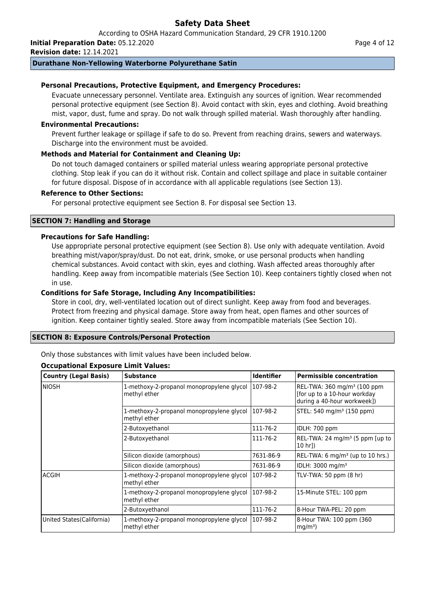According to OSHA Hazard Communication Standard, 29 CFR 1910.1200 **Initial Preparation Date:** 05.12.2020

**Revision date:** 12.14.2021

# **Durathane Non-Yellowing Waterborne Polyurethane Satin**

# **Personal Precautions, Protective Equipment, and Emergency Procedures:**

Evacuate unnecessary personnel. Ventilate area. Extinguish any sources of ignition. Wear recommended personal protective equipment (see Section 8). Avoid contact with skin, eyes and clothing. Avoid breathing mist, vapor, dust, fume and spray. Do not walk through spilled material. Wash thoroughly after handling.

### **Environmental Precautions:**

Prevent further leakage or spillage if safe to do so. Prevent from reaching drains, sewers and waterways. Discharge into the environment must be avoided.

# **Methods and Material for Containment and Cleaning Up:**

Do not touch damaged containers or spilled material unless wearing appropriate personal protective clothing. Stop leak if you can do it without risk. Contain and collect spillage and place in suitable container for future disposal. Dispose of in accordance with all applicable regulations (see Section 13).

## **Reference to Other Sections:**

For personal protective equipment see Section 8. For disposal see Section 13.

# **SECTION 7: Handling and Storage**

### **Precautions for Safe Handling:**

Use appropriate personal protective equipment (see Section 8). Use only with adequate ventilation. Avoid breathing mist/vapor/spray/dust. Do not eat, drink, smoke, or use personal products when handling chemical substances. Avoid contact with skin, eyes and clothing. Wash affected areas thoroughly after handling. Keep away from incompatible materials (See Section 10). Keep containers tightly closed when not in use.

### **Conditions for Safe Storage, Including Any Incompatibilities:**

Store in cool, dry, well-ventilated location out of direct sunlight. Keep away from food and beverages. Protect from freezing and physical damage. Store away from heat, open flames and other sources of ignition. Keep container tightly sealed. Store away from incompatible materials (See Section 10).

# **SECTION 8: Exposure Controls/Personal Protection**

Only those substances with limit values have been included below.

#### **Occupational Exposure Limit Values:**

| <b>Country (Legal Basis)</b> | <b>Substance</b>                                          | <b>Identifier</b> | <b>Permissible concentration</b>                                                                        |
|------------------------------|-----------------------------------------------------------|-------------------|---------------------------------------------------------------------------------------------------------|
| <b>NIOSH</b>                 | 1-methoxy-2-propanol monopropylene glycol<br>methyl ether | 107-98-2          | REL-TWA: 360 mg/m <sup>3</sup> (100 ppm)<br>[for up to a 10-hour workday<br>during a 40-hour workweek]) |
|                              | 1-methoxy-2-propanol monopropylene glycol<br>methyl ether | 107-98-2          | STEL: 540 mg/m <sup>3</sup> (150 ppm)                                                                   |
|                              | 2-Butoxyethanol                                           | 111-76-2          | IDLH: 700 ppm                                                                                           |
|                              | 2-Butoxyethanol                                           | 111-76-2          | REL-TWA: 24 mg/m <sup>3</sup> (5 ppm [up to<br> 10 hr])                                                 |
|                              | Silicon dioxide (amorphous)                               | 7631-86-9         | $[REL-TWA: 6 mg/m3 (up to 10 hrs.)$                                                                     |
|                              | Silicon dioxide (amorphous)                               | 7631-86-9         | IDLH: 3000 mg/m <sup>3</sup>                                                                            |
| <b>ACGIH</b>                 | 1-methoxy-2-propanol monopropylene glycol<br>methyl ether | 107-98-2          | TLV-TWA: 50 ppm (8 hr)                                                                                  |
|                              | 1-methoxy-2-propanol monopropylene glycol<br>methyl ether | 107-98-2          | 15-Minute STEL: 100 ppm                                                                                 |
|                              | 2-Butoxyethanol                                           | 111-76-2          | 8-Hour TWA-PEL: 20 ppm                                                                                  |
| United States (California)   | 1-methoxy-2-propanol monopropylene glycol<br>methyl ether | 107-98-2          | 8-Hour TWA: 100 ppm (360)<br>mq/m <sup>3</sup>                                                          |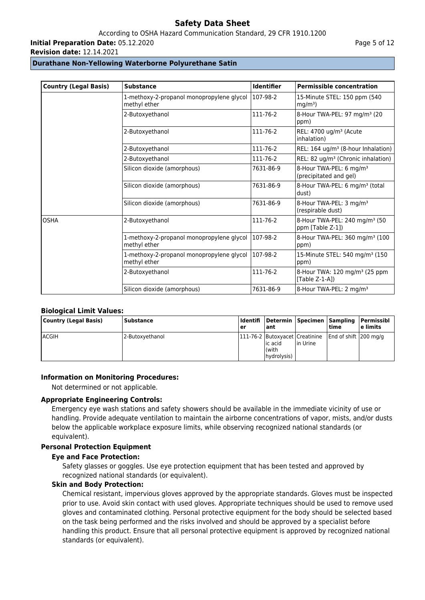According to OSHA Hazard Communication Standard, 29 CFR 1910.1200

**Initial Preparation Date:** 05.12.2020

**Revision date:** 12.14.2021

# **Durathane Non-Yellowing Waterborne Polyurethane Satin**

| <b>Country (Legal Basis)</b> | <b>Substance</b>                                          | <b>Identifier</b> | <b>Permissible concentration</b>                               |
|------------------------------|-----------------------------------------------------------|-------------------|----------------------------------------------------------------|
|                              | 1-methoxy-2-propanol monopropylene glycol<br>methyl ether | 107-98-2          | 15-Minute STEL: 150 ppm (540<br>mq/m <sup>3</sup>              |
|                              | 2-Butoxyethanol                                           | 111-76-2          | 8-Hour TWA-PEL: 97 mg/m <sup>3</sup> (20<br>ppm)               |
|                              | 2-Butoxyethanol                                           | 111-76-2          | REL: 4700 ug/m <sup>3</sup> (Acute<br>inhalation)              |
|                              | 2-Butoxyethanol                                           | 111-76-2          | REL: 164 ug/m <sup>3</sup> (8-hour Inhalation)                 |
|                              | 2-Butoxyethanol                                           | 111-76-2          | REL: 82 ug/m <sup>3</sup> (Chronic inhalation)                 |
|                              | Silicon dioxide (amorphous)                               | 7631-86-9         | 8-Hour TWA-PEL: 6 mg/m <sup>3</sup><br>(precipitated and gel)  |
|                              | Silicon dioxide (amorphous)                               | 7631-86-9         | 8-Hour TWA-PEL: 6 mg/m <sup>3</sup> (total<br>dust)            |
|                              | Silicon dioxide (amorphous)                               | 7631-86-9         | 8-Hour TWA-PEL: 3 mg/m <sup>3</sup><br>(respirable dust)       |
| <b>OSHA</b>                  | 2-Butoxyethanol                                           | 111-76-2          | 8-Hour TWA-PEL: 240 mg/m <sup>3</sup> (50<br>ppm [Table Z-1])  |
|                              | 1-methoxy-2-propanol monopropylene glycol<br>methyl ether | 107-98-2          | 8-Hour TWA-PEL: 360 mg/m <sup>3</sup> (100<br>ppm)             |
|                              | 1-methoxy-2-propanol monopropylene glycol<br>methyl ether | 107-98-2          | 15-Minute STEL: 540 mg/m <sup>3</sup> (150<br>ppm)             |
|                              | 2-Butoxyethanol                                           | 111-76-2          | 8-Hour TWA: 120 mg/m <sup>3</sup> (25 ppm<br>[Table $Z-1-A$ ]) |
|                              | Silicon dioxide (amorphous)                               | 7631-86-9         | 8-Hour TWA-PEL: 2 mg/m <sup>3</sup>                            |

# **Biological Limit Values:**

| Country (Legal Basis) | Substance       | er | l ant                             |                                                  | time                  | Identifi  Determin  Specimen  Sampling  Permissibl<br>l e limits |
|-----------------------|-----------------|----|-----------------------------------|--------------------------------------------------|-----------------------|------------------------------------------------------------------|
| <b>ACGIH</b>          | 2-Butoxyethanol |    | lic acid<br>l(with<br>hydrolysis) | 1111-76-2   Butoxyacet   Creatinine<br>lin Urine | End of shift 200 mg/g |                                                                  |

# **Information on Monitoring Procedures:**

Not determined or not applicable.

# **Appropriate Engineering Controls:**

Emergency eye wash stations and safety showers should be available in the immediate vicinity of use or handling. Provide adequate ventilation to maintain the airborne concentrations of vapor, mists, and/or dusts below the applicable workplace exposure limits, while observing recognized national standards (or equivalent).

# **Personal Protection Equipment**

#### **Eye and Face Protection:**

Safety glasses or goggles. Use eye protection equipment that has been tested and approved by recognized national standards (or equivalent).

# **Skin and Body Protection:**

Chemical resistant, impervious gloves approved by the appropriate standards. Gloves must be inspected prior to use. Avoid skin contact with used gloves. Appropriate techniques should be used to remove used gloves and contaminated clothing. Personal protective equipment for the body should be selected based on the task being performed and the risks involved and should be approved by a specialist before handling this product. Ensure that all personal protective equipment is approved by recognized national standards (or equivalent).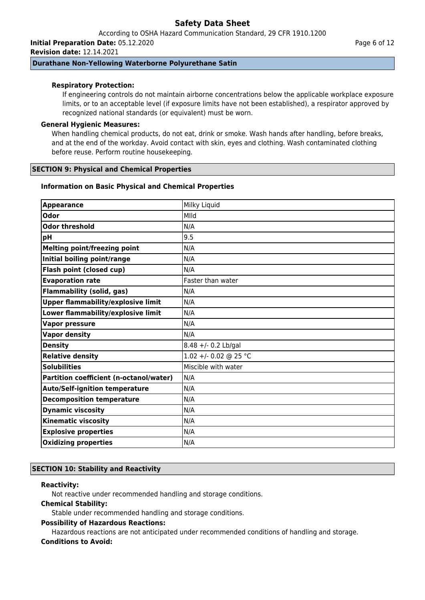According to OSHA Hazard Communication Standard, 29 CFR 1910.1200

**Initial Preparation Date:** 05.12.2020 **Revision date:** 12.14.2021

# **Durathane Non-Yellowing Waterborne Polyurethane Satin**

# **Respiratory Protection:**

If engineering controls do not maintain airborne concentrations below the applicable workplace exposure limits, or to an acceptable level (if exposure limits have not been established), a respirator approved by recognized national standards (or equivalent) must be worn.

# **General Hygienic Measures:**

When handling chemical products, do not eat, drink or smoke. Wash hands after handling, before breaks, and at the end of the workday. Avoid contact with skin, eyes and clothing. Wash contaminated clothing before reuse. Perform routine housekeeping.

### **SECTION 9: Physical and Chemical Properties**

### **Information on Basic Physical and Chemical Properties**

| <b>Appearance</b>                         | Milky Liquid          |
|-------------------------------------------|-----------------------|
| <b>Odor</b>                               | MIId                  |
| <b>Odor threshold</b>                     | N/A                   |
| pH                                        | 9.5                   |
| <b>Melting point/freezing point</b>       | N/A                   |
| Initial boiling point/range               | N/A                   |
| Flash point (closed cup)                  | N/A                   |
| <b>Evaporation rate</b>                   | Faster than water     |
| <b>Flammability (solid, gas)</b>          | N/A                   |
| <b>Upper flammability/explosive limit</b> | N/A                   |
| Lower flammability/explosive limit        | N/A                   |
| <b>Vapor pressure</b>                     | N/A                   |
| <b>Vapor density</b>                      | N/A                   |
| <b>Density</b>                            | $8.48 +/- 0.2$ Lb/gal |
| <b>Relative density</b>                   | 1.02 +/- 0.02 @ 25 °C |
| <b>Solubilities</b>                       | Miscible with water   |
| Partition coefficient (n-octanol/water)   | N/A                   |
| <b>Auto/Self-ignition temperature</b>     | N/A                   |
| <b>Decomposition temperature</b>          | N/A                   |
| <b>Dynamic viscosity</b>                  | N/A                   |
| <b>Kinematic viscosity</b>                | N/A                   |
| <b>Explosive properties</b>               | N/A                   |
| <b>Oxidizing properties</b>               | N/A                   |

# **SECTION 10: Stability and Reactivity**

### **Reactivity:**

Not reactive under recommended handling and storage conditions.

### **Chemical Stability:**

Stable under recommended handling and storage conditions.

### **Possibility of Hazardous Reactions:**

Hazardous reactions are not anticipated under recommended conditions of handling and storage. **Conditions to Avoid:**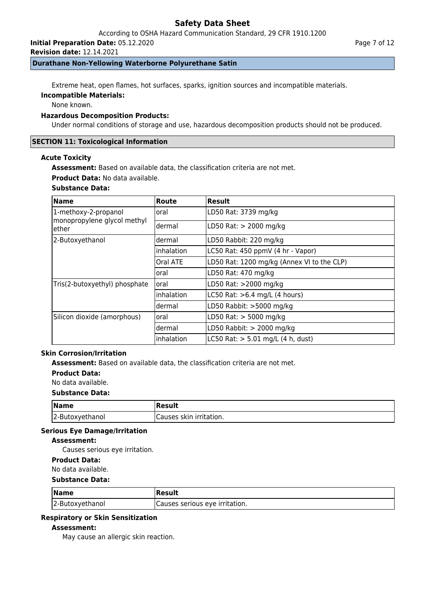According to OSHA Hazard Communication Standard, 29 CFR 1910.1200

**Initial Preparation Date:** 05.12.2020

**Revision date:** 12.14.2021

# **Durathane Non-Yellowing Waterborne Polyurethane Satin**

Extreme heat, open flames, hot surfaces, sparks, ignition sources and incompatible materials.

# **Incompatible Materials:**

None known.

# **Hazardous Decomposition Products:**

Under normal conditions of storage and use, hazardous decomposition products should not be produced.

### **SECTION 11: Toxicological Information**

#### **Acute Toxicity**

**Assessment:** Based on available data, the classification criteria are not met.

**Product Data:** No data available.

### **Substance Data:**

| <b>Name</b>                          | Route      | <b>Result</b>                              |  |  |
|--------------------------------------|------------|--------------------------------------------|--|--|
| 1-methoxy-2-propanol                 | oral       | LD50 Rat: 3739 mg/kg                       |  |  |
| monopropylene glycol methyl<br>ether | dermal     | LD50 Rat: > 2000 mg/kg                     |  |  |
| 2-Butoxyethanol                      | dermal     | LD50 Rabbit: 220 mg/kg                     |  |  |
|                                      | inhalation | LC50 Rat: 450 ppmV (4 hr - Vapor)          |  |  |
|                                      | Oral ATE   | LD50 Rat: 1200 mg/kg (Annex VI to the CLP) |  |  |
|                                      | oral       | LD50 Rat: 470 mg/kg                        |  |  |
| Tris(2-butoxyethyl) phosphate        | oral       | LD50 Rat: >2000 mg/kg                      |  |  |
|                                      | inhalation | LC50 Rat: $>6.4$ mg/L (4 hours)            |  |  |
|                                      | dermal     | LD50 Rabbit: >5000 mg/kg                   |  |  |
| Silicon dioxide (amorphous)          | oral       | LD50 Rat: $>$ 5000 mg/kg                   |  |  |
|                                      | dermal     | LD50 Rabbit: $> 2000$ mg/kg                |  |  |
|                                      | inhalation | $LC50$ Rat: $> 5.01$ mg/L (4 h, dust)      |  |  |

# **Skin Corrosion/Irritation**

**Assessment:** Based on available data, the classification criteria are not met.

**Product Data:**

No data available.

### **Substance Data:**

| $\sqrt{\mathsf{Name}}$ | Result                  |
|------------------------|-------------------------|
| 2-Butoxyethanol        | Causes skin irritation. |

### **Serious Eye Damage/Irritation**

# **Assessment:**

Causes serious eye irritation.

#### **Product Data:**

No data available.

### **Substance Data:**

| <b>Name</b>     | Result                          |
|-----------------|---------------------------------|
| 2-Butoxyethanol | ICauses serious eye irritation. |

# **Respiratory or Skin Sensitization**

### **Assessment:**

May cause an allergic skin reaction.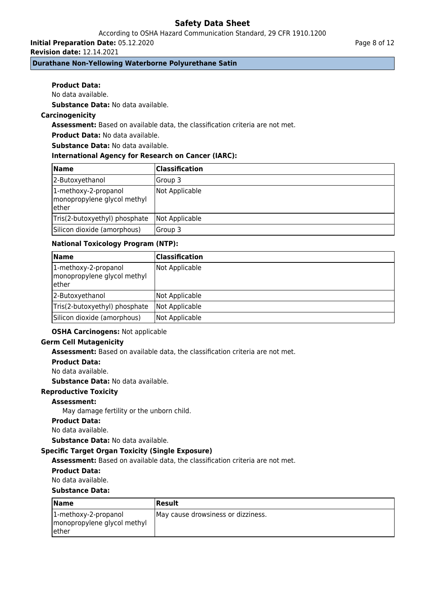# According to OSHA Hazard Communication Standard, 29 CFR 1910.1200

**Initial Preparation Date:** 05.12.2020

**Revision date:** 12.14.2021

# **Durathane Non-Yellowing Waterborne Polyurethane Satin**

# **Product Data:**

No data available.

**Substance Data:** No data available.

# **Carcinogenicity**

**Assessment:** Based on available data, the classification criteria are not met.

# **Product Data:** No data available.

**Substance Data:** No data available.

# **International Agency for Research on Cancer (IARC):**

| <b>Name</b>                                                   | <b>Classification</b> |
|---------------------------------------------------------------|-----------------------|
| 2-Butoxyethanol                                               | Group 3               |
| 1-methoxy-2-propanol<br>monopropylene glycol methyl<br>lether | Not Applicable        |
| Tris(2-butoxyethyl) phosphate                                 | Not Applicable        |
| Silicon dioxide (amorphous)                                   | lGroup 3              |

# **National Toxicology Program (NTP):**

| Name                                                          | Classification |
|---------------------------------------------------------------|----------------|
| 1-methoxy-2-propanol<br>monopropylene glycol methyl<br>lether | Not Applicable |
| 2-Butoxyethanol                                               | Not Applicable |
| Tris(2-butoxyethyl) phosphate                                 | Not Applicable |
| Silicon dioxide (amorphous)                                   | Not Applicable |

# **OSHA Carcinogens:** Not applicable

# **Germ Cell Mutagenicity**

**Assessment:** Based on available data, the classification criteria are not met.

**Product Data:**

No data available.

**Substance Data:** No data available.

# **Reproductive Toxicity**

# **Assessment:**

May damage fertility or the unborn child.

**Product Data:**

No data available.

**Substance Data:** No data available.

# **Specific Target Organ Toxicity (Single Exposure)**

**Assessment:** Based on available data, the classification criteria are not met.

# **Product Data:**

No data available.

# **Substance Data:**

| <b>Name</b>                                             | Result                             |
|---------------------------------------------------------|------------------------------------|
| $ 1$ -methoxy-2-propanol<br>monopropylene glycol methyl | May cause drowsiness or dizziness. |
| ether                                                   |                                    |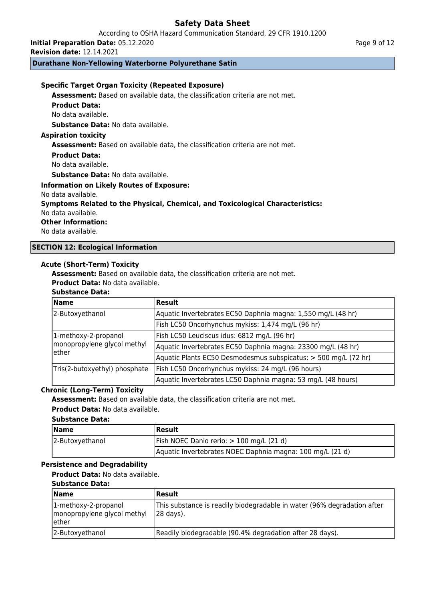According to OSHA Hazard Communication Standard, 29 CFR 1910.1200

**Initial Preparation Date:** 05.12.2020

**Revision date:** 12.14.2021

# **Durathane Non-Yellowing Waterborne Polyurethane Satin**

# **Specific Target Organ Toxicity (Repeated Exposure)**

**Assessment:** Based on available data, the classification criteria are not met.

#### **Product Data:**

No data available.

**Substance Data:** No data available.

## **Aspiration toxicity**

**Assessment:** Based on available data, the classification criteria are not met.

#### **Product Data:**

No data available.

## **Substance Data:** No data available.

**Information on Likely Routes of Exposure:**

No data available.

# **Symptoms Related to the Physical, Chemical, and Toxicological Characteristics:**

No data available.

### **Other Information:**

No data available.

# **SECTION 12: Ecological Information**

# **Acute (Short-Term) Toxicity**

**Assessment:** Based on available data, the classification criteria are not met.

**Product Data:** No data available.

## **Substance Data:**

| <b>Name</b>                           | Result                                                          |  |
|---------------------------------------|-----------------------------------------------------------------|--|
| 2-Butoxyethanol                       | Aquatic Invertebrates EC50 Daphnia magna: 1,550 mg/L (48 hr)    |  |
|                                       | Fish LC50 Oncorhynchus mykiss: 1,474 mg/L (96 hr)               |  |
| 1-methoxy-2-propanol                  | Fish LC50 Leuciscus idus: 6812 mg/L (96 hr)                     |  |
| monopropylene glycol methyl<br>lether | Aquatic Invertebrates EC50 Daphnia magna: 23300 mg/L (48 hr)    |  |
|                                       | Aquatic Plants EC50 Desmodesmus subspicatus: > 500 mg/L (72 hr) |  |
| Tris(2-butoxyethyl) phosphate         | Fish LC50 Oncorhynchus mykiss: 24 mg/L (96 hours)               |  |
|                                       | Aquatic Invertebrates LC50 Daphnia magna: 53 mg/L (48 hours)    |  |

#### **Chronic (Long-Term) Toxicity**

**Assessment:** Based on available data, the classification criteria are not met.

**Product Data:** No data available.

# **Substance Data:**

| <b>Name</b>     | <b>IResult</b>                                            |  |
|-----------------|-----------------------------------------------------------|--|
| 2-Butoxyethanol | Fish NOEC Danio rerio: > 100 mg/L (21 d)                  |  |
|                 | Aquatic Invertebrates NOEC Daphnia magna: 100 mg/L (21 d) |  |

# **Persistence and Degradability**

**Product Data:** No data available.

#### **Substance Data:**

| <b>Name</b>                                                   | <b>Result</b>                                                                                    |  |
|---------------------------------------------------------------|--------------------------------------------------------------------------------------------------|--|
| 1-methoxy-2-propanol<br>monopropylene glycol methyl<br>lether | This substance is readily biodegradable in water (96% degradation after<br>$ 28 \text{ days} $ . |  |
| 2-Butoxyethanol                                               | Readily biodegradable (90.4% degradation after 28 days).                                         |  |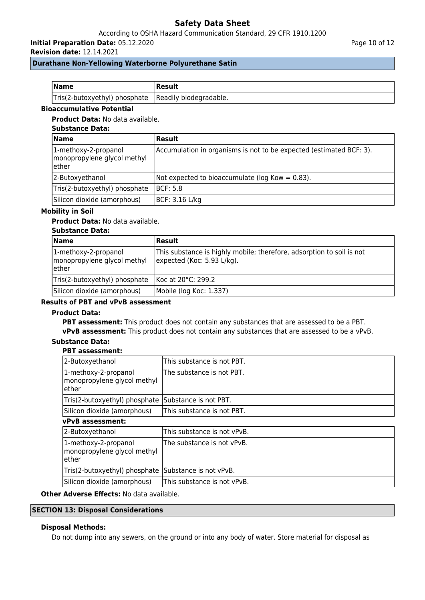# According to OSHA Hazard Communication Standard, 29 CFR 1910.1200

**Initial Preparation Date:** 05.12.2020

**Revision date:** 12.14.2021

Page 10 of 12

## **Durathane Non-Yellowing Waterborne Polyurethane Satin**

| <b>Name</b>                                          | Result |
|------------------------------------------------------|--------|
| Tris(2-butoxyethyl) phosphate Readily biodegradable. |        |

# **Bioaccumulative Potential**

### **Product Data:** No data available.

## **Substance Data:**

| <b>Name</b>                                                   | Result                                                              |
|---------------------------------------------------------------|---------------------------------------------------------------------|
| 1-methoxy-2-propanol<br>monopropylene glycol methyl<br>lether | Accumulation in organisms is not to be expected (estimated BCF: 3). |
| 2-Butoxyethanol                                               | Not expected to bioaccumulate (log Kow = $0.83$ ).                  |
| Tris(2-butoxyethyl) phosphate                                 | BCF: 5.8                                                            |
| Silicon dioxide (amorphous)                                   | BCF: 3.16 L/kg                                                      |

# **Mobility in Soil**

# **Product Data:** No data available.

### **Substance Data:**

| <b>Name</b>                                                   | Result                                                                                              |  |
|---------------------------------------------------------------|-----------------------------------------------------------------------------------------------------|--|
| 1-methoxy-2-propanol<br>monopropylene glycol methyl<br>lether | This substance is highly mobile; therefore, adsorption to soil is not<br>expected (Koc: 5.93 L/kg). |  |
| Tris(2-butoxyethyl) phosphate                                 | Koc at 20°C: 299.2                                                                                  |  |
| Silicon dioxide (amorphous)                                   | Mobile (log Koc: 1.337)                                                                             |  |

# **Results of PBT and vPvB assessment**

#### **Product Data:**

**PBT assessment:** This product does not contain any substances that are assessed to be a PBT.

**vPvB assessment:** This product does not contain any substances that are assessed to be a vPvB.

# **Substance Data:**

#### **PBT assessment:**

| 2-Butoxyethanol                                              | This substance is not PBT.  |  |
|--------------------------------------------------------------|-----------------------------|--|
| 1-methoxy-2-propanol<br>monopropylene glycol methyl<br>ether | The substance is not PBT.   |  |
| Tris(2-butoxyethyl) phosphate                                | Substance is not PBT.       |  |
| Silicon dioxide (amorphous)                                  | This substance is not PBT.  |  |
| <b>vPvB</b> assessment:                                      |                             |  |
| 2-Butoxyethanol                                              | This substance is not vPvB. |  |
| 1-methoxy-2-propanol<br>monopropylene glycol methyl<br>ether | The substance is not vPvB.  |  |
| Tris(2-butoxyethyl) phosphate                                | Substance is not vPvB.      |  |
| Silicon dioxide (amorphous)                                  | This substance is not vPvB. |  |

**Other Adverse Effects:** No data available.

### **SECTION 13: Disposal Considerations**

## **Disposal Methods:**

Do not dump into any sewers, on the ground or into any body of water. Store material for disposal as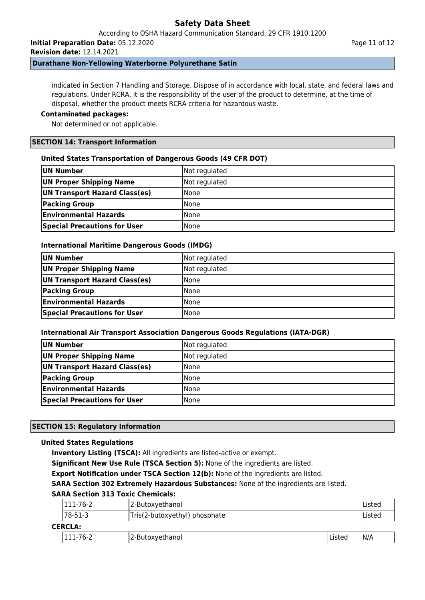According to OSHA Hazard Communication Standard, 29 CFR 1910.1200

**Initial Preparation Date:** 05.12.2020

**Revision date:** 12.14.2021

## **Durathane Non-Yellowing Waterborne Polyurethane Satin**

indicated in Section 7 Handling and Storage. Dispose of in accordance with local, state, and federal laws and regulations. Under RCRA, it is the responsibility of the user of the product to determine, at the time of disposal, whether the product meets RCRA criteria for hazardous waste.

## **Contaminated packages:**

Not determined or not applicable.

## **SECTION 14: Transport Information**

### **United States Transportation of Dangerous Goods (49 CFR DOT)**

| UN Number                           | Not regulated |
|-------------------------------------|---------------|
| UN Proper Shipping Name             | Not regulated |
| UN Transport Hazard Class(es)       | <b>None</b>   |
| <b>Packing Group</b>                | <b>None</b>   |
| <b>Environmental Hazards</b>        | <b>None</b>   |
| <b>Special Precautions for User</b> | <b>None</b>   |

### **International Maritime Dangerous Goods (IMDG)**

| UN Number                           | Not regulated |
|-------------------------------------|---------------|
| UN Proper Shipping Name             | Not regulated |
| UN Transport Hazard Class(es)       | l None        |
| <b>Packing Group</b>                | l None        |
| <b>Environmental Hazards</b>        | l None        |
| <b>Special Precautions for User</b> | None          |

#### **International Air Transport Association Dangerous Goods Regulations (IATA-DGR)**

| UN Number                           | Not regulated |
|-------------------------------------|---------------|
| UN Proper Shipping Name             | Not regulated |
| UN Transport Hazard Class(es)       | None          |
| <b>Packing Group</b>                | None          |
| <b>Environmental Hazards</b>        | l None        |
| <b>Special Precautions for User</b> | l None        |

# **SECTION 15: Regulatory Information**

# **United States Regulations**

**Inventory Listing (TSCA):** All ingredients are listed-active or exempt.

**Significant New Use Rule (TSCA Section 5):** None of the ingredients are listed.

**Export Notification under TSCA Section 12(b):** None of the ingredients are listed.

**SARA Section 302 Extremely Hazardous Substances:** None of the ingredients are listed.

# **SARA Section 313 Toxic Chemicals:**

|                | 111-76-2<br>2-Butoxyethanol              |                 | Listed  |      |
|----------------|------------------------------------------|-----------------|---------|------|
|                | 78-51-3<br>Tris(2-butoxyethyl) phosphate |                 | Listed  |      |
| <b>CERCLA:</b> |                                          |                 |         |      |
|                | 111-76-2                                 | 2-Butoxyethanol | lListed | IN/A |